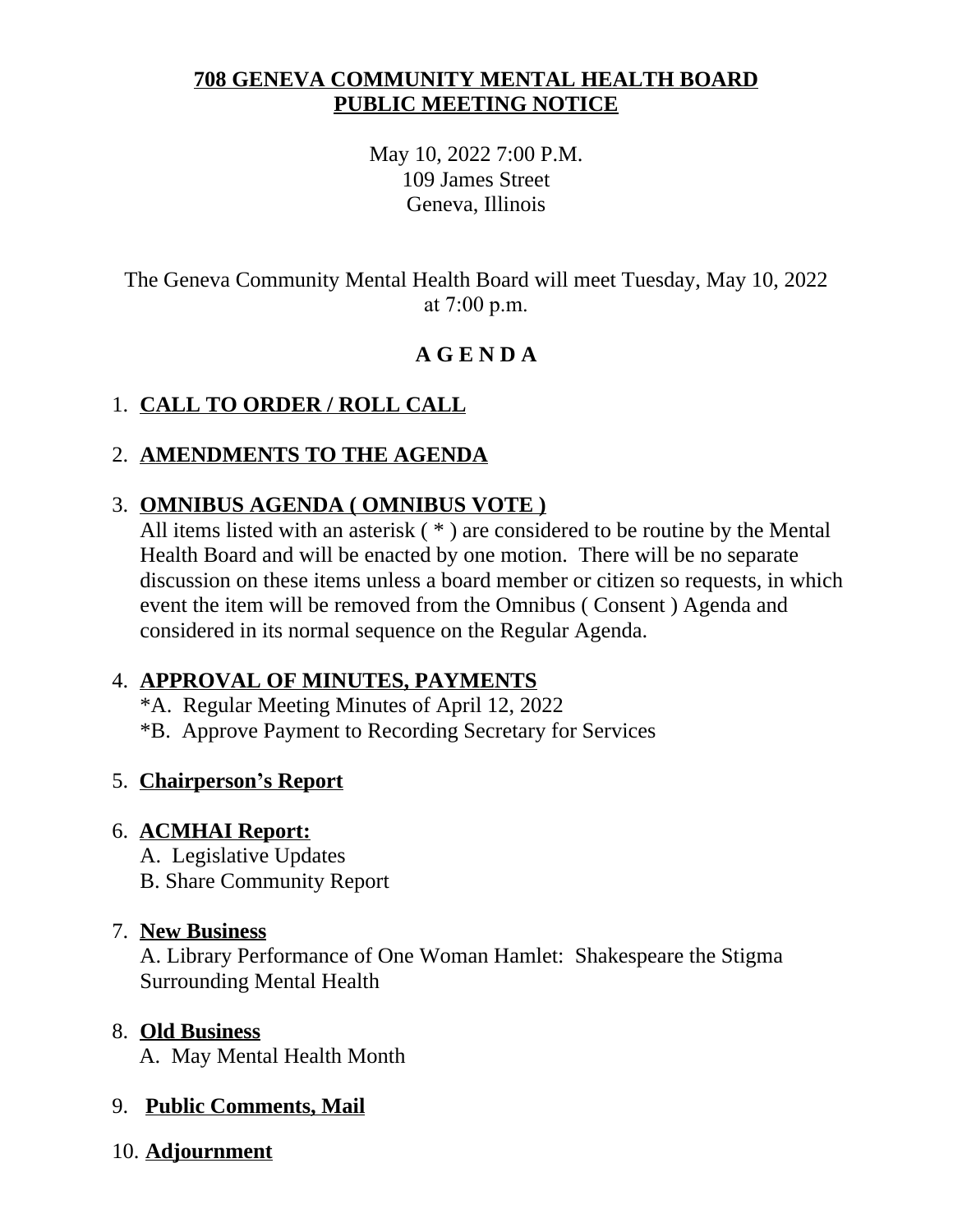## **708 GENEVA COMMUNITY MENTAL HEALTH BOARD PUBLIC MEETING NOTICE**

May 10, 2022 7:00 P.M. 109 James Street Geneva, Illinois

The Geneva Community Mental Health Board will meet Tuesday, May 10, 2022 at 7:00 p.m.

# **A G E N D A**

# 1. **CALL TO ORDER / ROLL CALL**

## 2. **AMENDMENTS TO THE AGENDA**

### 3. **OMNIBUS AGENDA ( OMNIBUS VOTE )**

All items listed with an asterisk ( \* ) are considered to be routine by the Mental Health Board and will be enacted by one motion. There will be no separate discussion on these items unless a board member or citizen so requests, in which event the item will be removed from the Omnibus ( Consent ) Agenda and considered in its normal sequence on the Regular Agenda.

#### 4. **APPROVAL OF MINUTES, PAYMENTS**

- \*A. Regular Meeting Minutes of April 12, 2022
- \*B. Approve Payment to Recording Secretary for Services

#### 5. **Chairperson's Report**

#### 6. **ACMHAI Report:**

- A. Legislative Updates
- B. Share Community Report

#### 7. **New Business**

A. Library Performance of One Woman Hamlet: Shakespeare the Stigma Surrounding Mental Health

#### 8. **Old Business**

A. May Mental Health Month

## 9. **Public Comments, Mail**

10. **Adjournment**